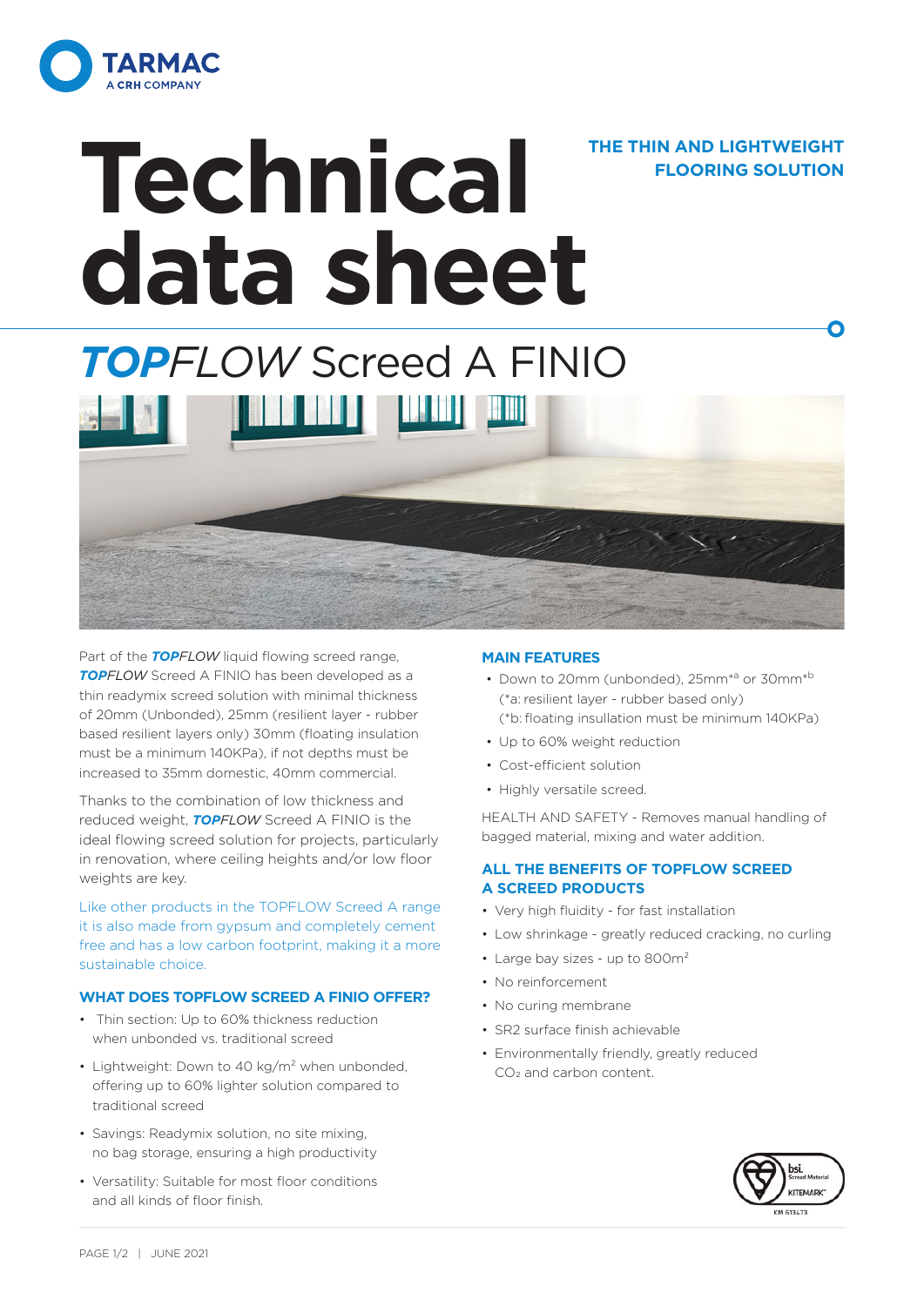

## **Technical data sheet THE THIN AND LIGHTWEIGHT**

### *TOPFLOW* Screed A FINIO **THE REAL PROPERTY AND IN**

Part of the **TOPFLOW** liquid flowing screed range, **TOPFI OW** Screed A FINIO has been developed as a thin readymix screed solution with minimal thickness of 20mm (Unbonded), 25mm (resilient layer - rubber based resilient layers only) 30mm (floating insulation must be a minimum 140KPa), if not depths must be increased to 35mm domestic, 40mm commercial.

Thanks to the combination of low thickness and reduced weight, *TOPFLOW* Screed A FINIO is the ideal flowing screed solution for projects, particularly in renovation, where ceiling heights and/or low floor weights are key.

Like other products in the TOPFLOW Screed A range it is also made from gypsum and completely cement free and has a low carbon footprint, making it a more sustainable choice.

### **WHAT DOES TOPFLOW SCREED A FINIO OFFER?**

- Thin section: Up to 60% thickness reduction when unbonded vs. traditional screed
- Lightweight: Down to 40 kg/m<sup>2</sup> when unbonded, offering up to 60% lighter solution compared to traditional screed
- Savings: Readymix solution, no site mixing, no bag storage, ensuring a high productivity
- Versatility: Suitable for most floor conditions and all kinds of floor finish.

### **MAIN FEATURES**

• Down to 20mm (unbonded), 25mm<sup>\*a</sup> or 30mm<sup>\*b</sup> (\*a: resilient layer - rubber based only) (\*b: floating insullation must be minimum 140KPa)

**FLOORING SOLUTION**

n

- Up to 60% weight reduction
- Cost-efficient solution
- Highly versatile screed.

HEALTH AND SAFETY - Removes manual handling of bagged material, mixing and water addition.

### **ALL THE BENEFITS OF TOPFLOW SCREED A SCREED PRODUCTS**

- Very high fluidity for fast installation
- Low shrinkage greatly reduced cracking, no curling
- Large bay sizes up to 800m<sup>2</sup>
- No reinforcement
- No curing membrane
- SR2 surface finish achievable
- Environmentally friendly, greatly reduced CO2 and carbon content.